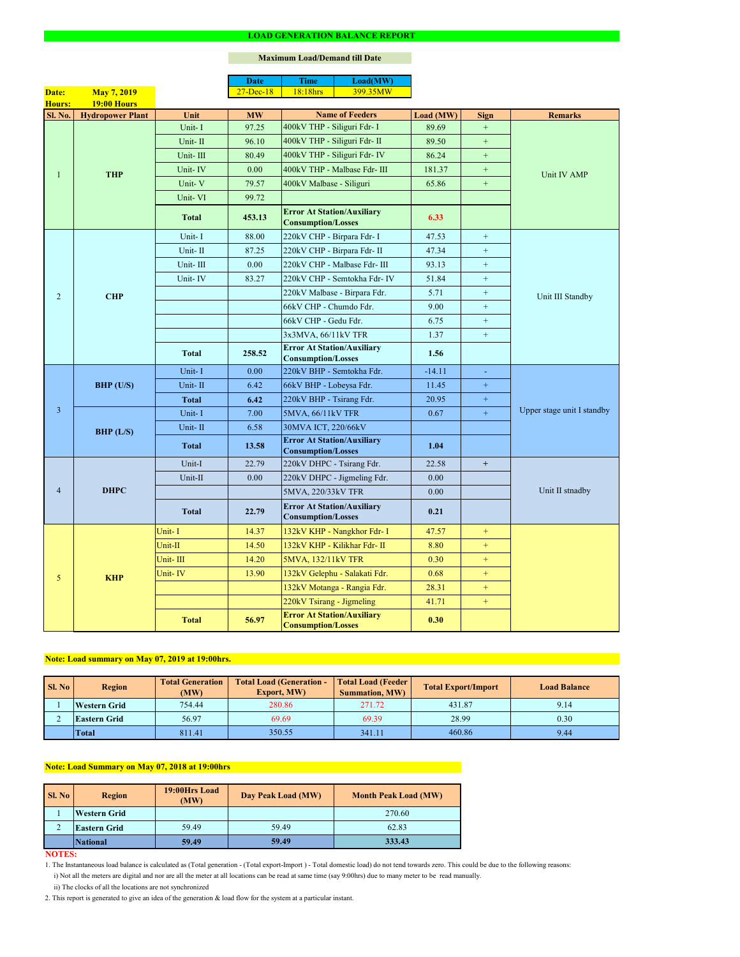#### **NOTES:**

|                |                         |              | <b>Date</b>   | <b>Time</b>                                                    | Load(MW)                      |           |                  |                            |  |
|----------------|-------------------------|--------------|---------------|----------------------------------------------------------------|-------------------------------|-----------|------------------|----------------------------|--|
| Date:          | <b>May 7, 2019</b>      |              | $27 - Dec-18$ | 18:18hrs                                                       | 399.35MW                      |           |                  |                            |  |
| <b>Hours:</b>  | <b>19:00 Hours</b>      |              |               |                                                                |                               |           |                  |                            |  |
| Sl. No.        | <b>Hydropower Plant</b> | Unit         | <b>MW</b>     |                                                                | <b>Name of Feeders</b>        | Load (MW) | <b>Sign</b>      | <b>Remarks</b>             |  |
|                |                         | Unit-I       | 97.25         | 400kV THP - Siliguri Fdr- I                                    |                               | 89.69     | $+$              |                            |  |
|                |                         | Unit-II      | 96.10         | 400kV THP - Siliguri Fdr- II                                   |                               | 89.50     | $\boldsymbol{+}$ |                            |  |
|                |                         | Unit-III     | 80.49         |                                                                | 400kV THP - Siliguri Fdr- IV  | 86.24     | $+$              |                            |  |
|                | <b>THP</b>              | Unit-IV      | 0.00          |                                                                | 400kV THP - Malbase Fdr- III  | 181.37    | $+$              | Unit IV AMP                |  |
|                |                         | Unit-V       | 79.57         | 400kV Malbase - Siliguri                                       |                               | 65.86     | $\boldsymbol{+}$ |                            |  |
|                |                         | Unit-VI      | 99.72         |                                                                |                               |           |                  |                            |  |
|                |                         | <b>Total</b> | 453.13        | <b>Error At Station/Auxiliary</b><br><b>Consumption/Losses</b> |                               | 6.33      |                  |                            |  |
|                |                         | Unit-I       | 88.00         | 220kV CHP - Birpara Fdr- I                                     |                               | 47.53     | $+$              |                            |  |
|                |                         | Unit-II      | 87.25         |                                                                | 220kV CHP - Birpara Fdr- II   | 47.34     | $+$              |                            |  |
|                |                         | Unit-III     | 0.00          |                                                                | 220kV CHP - Malbase Fdr- III  | 93.13     | $+$              |                            |  |
|                |                         | Unit-IV      | 83.27         |                                                                | 220kV CHP - Semtokha Fdr- IV  | 51.84     | $+$              |                            |  |
| $\overline{2}$ | <b>CHP</b>              |              |               |                                                                | 220kV Malbase - Birpara Fdr.  | 5.71      | $\boldsymbol{+}$ |                            |  |
|                |                         |              |               | 66kV CHP - Chumdo Fdr.                                         |                               | 9.00      | $\boldsymbol{+}$ | Unit III Standby           |  |
|                |                         |              |               | 66kV CHP - Gedu Fdr.                                           |                               | 6.75      | $+$              |                            |  |
|                |                         |              |               | 3x3MVA, 66/11kV TFR                                            |                               | 1.37      | $\boldsymbol{+}$ |                            |  |
|                |                         | <b>Total</b> | 258.52        | <b>Error At Station/Auxiliary</b><br><b>Consumption/Losses</b> |                               | 1.56      |                  |                            |  |
|                | <b>BHP</b> (U/S)        | Unit-I       | 0.00          | 220kV BHP - Semtokha Fdr.                                      |                               | $-14.11$  | $\omega$         |                            |  |
|                |                         | Unit-II      | 6.42          | 66kV BHP - Lobeysa Fdr.                                        |                               | 11.45     | $\boldsymbol{+}$ |                            |  |
|                |                         | Total        | 6.42          | 220kV BHP - Tsirang Fdr.                                       |                               | 20.95     | $+$              |                            |  |
| $\overline{3}$ |                         | Unit-I       | 7.00          | 5MVA, 66/11kV TFR                                              |                               | 0.67      | $+$              | Upper stage unit I standby |  |
|                | BHP (L/S)               | Unit-II      | 6.58          | 30MVA ICT, 220/66kV                                            |                               |           |                  |                            |  |
|                |                         | <b>Total</b> | 13.58         | <b>Error At Station/Auxiliary</b><br><b>Consumption/Losses</b> |                               | 1.04      |                  |                            |  |
|                |                         | Unit-I       | 22.79         | 220kV DHPC - Tsirang Fdr.                                      |                               | 22.58     | $+$              |                            |  |
|                | <b>DHPC</b>             | Unit-II      | 0.00          |                                                                | 220kV DHPC - Jigmeling Fdr.   | 0.00      |                  |                            |  |
| $\overline{4}$ |                         |              |               | 5MVA, 220/33kV TFR                                             |                               | 0.00      |                  | Unit II stnadby            |  |
|                |                         | <b>Total</b> | 22.79         | <b>Error At Station/Auxiliary</b><br><b>Consumption/Losses</b> |                               | 0.21      |                  |                            |  |
|                |                         | Unit-I       | 14.37         |                                                                | 132kV KHP - Nangkhor Fdr- I   | 47.57     | $\pm$            |                            |  |
|                |                         | Unit-II      | 14.50         |                                                                | 132kV KHP - Kilikhar Fdr- II  | 8.80      | $+$              |                            |  |
|                | <b>KHP</b>              | Unit-III     | 14.20         | 5MVA, 132/11kV TFR                                             |                               | 0.30      | $+$              |                            |  |
| 5 <sup>5</sup> |                         | Unit-IV      | 13.90         |                                                                | 132kV Gelephu - Salakati Fdr. | 0.68      | $+$              |                            |  |
|                |                         |              |               |                                                                | 132kV Motanga - Rangia Fdr.   | 28.31     | $+$              |                            |  |
|                |                         |              |               | 220kV Tsirang - Jigmeling                                      |                               | 41.71     | $+$              |                            |  |
|                |                         | <b>Total</b> | 56.97         | <b>Error At Station/Auxiliary</b><br><b>Consumption/Losses</b> |                               | 0.30      |                  |                            |  |

#### **LOAD GENERATION BALANCE REPORT**

| Sl. No | <b>Total Generation</b><br><b>Region</b><br>(MW) |                | <b>Total Load (Generation -</b><br><b>Export, MW)</b> | <b>Total Load (Feeder)</b><br><b>Summation, MW)</b> | <b>Total Export/Import</b> | <b>Load Balance</b> |
|--------|--------------------------------------------------|----------------|-------------------------------------------------------|-----------------------------------------------------|----------------------------|---------------------|
|        | <b>Western Grid</b>                              | 754.44         | 280.86                                                | 271.72                                              | 431.87                     | 9.14                |
|        | <b>Eastern Grid</b>                              | 69.69<br>56.97 |                                                       | 69.39                                               | 28.99                      | 0.30                |
|        | <b>Total</b>                                     | 811.41         | 350.55                                                | 341.11                                              | 460.86                     | 9.44                |

| SI. No | <b>Region</b>       | 19:00Hrs Load<br>(MW) | Day Peak Load (MW) | <b>Month Peak Load (MW)</b> |  |
|--------|---------------------|-----------------------|--------------------|-----------------------------|--|
|        | <b>Western Grid</b> |                       |                    | 270.60                      |  |
|        | <b>Eastern Grid</b> | 59.49                 | 59.49              | 62.83                       |  |
|        | <i>National</i>     | 59.49                 | 59.49              | 333.43                      |  |

# **Note: Load Summary on May 07, 2018 at 19:00hrs**

### **Note: Load summary on May 07, 2019 at 19:00hrs.**

- 1. The Instantaneous load balance is calculated as (Total generation (Total export-Import ) Total domestic load) do not tend towards zero. This could be due to the following reasons:
	- i) Not all the meters are digital and nor are all the meter at all locations can be read at same time (say 9:00hrs) due to many meter to be read manually.
	- ii) The clocks of all the locations are not synchronized
- 2. This report is generated to give an idea of the generation & load flow for the system at a particular instant.

### **Maximum Load/Demand till Date**